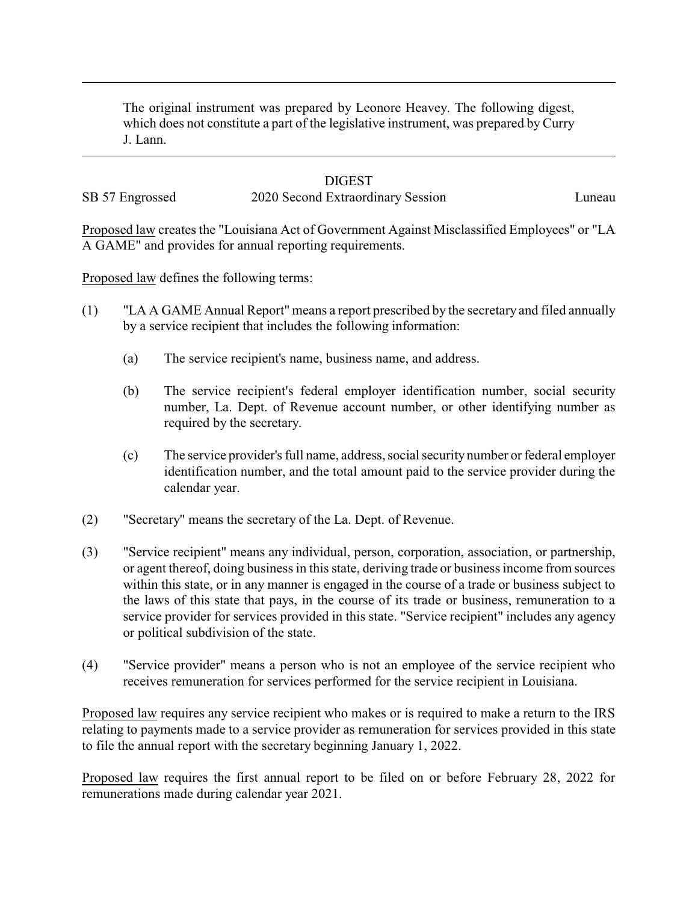The original instrument was prepared by Leonore Heavey. The following digest, which does not constitute a part of the legislative instrument, was prepared by Curry J. Lann.

## **DIGEST**

## SB 57 Engrossed 2020 Second Extraordinary Session Luneau

Proposed law creates the "Louisiana Act of Government Against Misclassified Employees" or "LA A GAME" and provides for annual reporting requirements.

Proposed law defines the following terms:

- (1) "LA A GAME Annual Report" means a report prescribed by the secretary and filed annually by a service recipient that includes the following information:
	- (a) The service recipient's name, business name, and address.
	- (b) The service recipient's federal employer identification number, social security number, La. Dept. of Revenue account number, or other identifying number as required by the secretary.
	- (c) The service provider's full name, address, social securitynumber or federal employer identification number, and the total amount paid to the service provider during the calendar year.
- (2) "Secretary" means the secretary of the La. Dept. of Revenue.
- (3) "Service recipient" means any individual, person, corporation, association, or partnership, or agent thereof, doing business in this state, deriving trade or business income from sources within this state, or in any manner is engaged in the course of a trade or business subject to the laws of this state that pays, in the course of its trade or business, remuneration to a service provider for services provided in this state. "Service recipient" includes any agency or political subdivision of the state.
- (4) "Service provider" means a person who is not an employee of the service recipient who receives remuneration for services performed for the service recipient in Louisiana.

Proposed law requires any service recipient who makes or is required to make a return to the IRS relating to payments made to a service provider as remuneration for services provided in this state to file the annual report with the secretary beginning January 1, 2022.

Proposed law requires the first annual report to be filed on or before February 28, 2022 for remunerations made during calendar year 2021.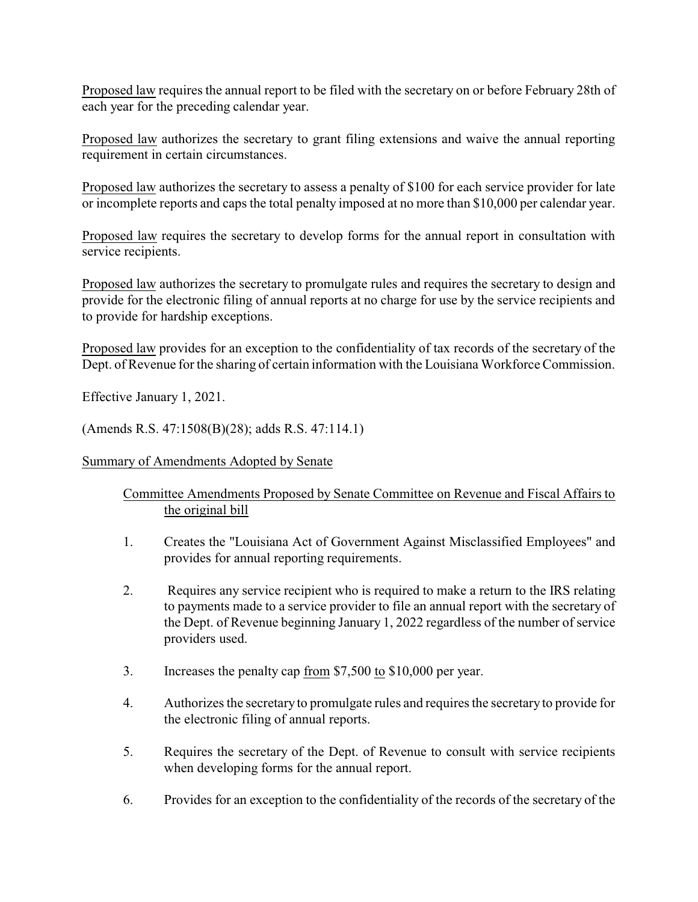Proposed law requires the annual report to be filed with the secretary on or before February 28th of each year for the preceding calendar year.

Proposed law authorizes the secretary to grant filing extensions and waive the annual reporting requirement in certain circumstances.

Proposed law authorizes the secretary to assess a penalty of \$100 for each service provider for late or incomplete reports and caps the total penalty imposed at no more than \$10,000 per calendar year.

Proposed law requires the secretary to develop forms for the annual report in consultation with service recipients.

Proposed law authorizes the secretary to promulgate rules and requires the secretary to design and provide for the electronic filing of annual reports at no charge for use by the service recipients and to provide for hardship exceptions.

Proposed law provides for an exception to the confidentiality of tax records of the secretary of the Dept. of Revenue for the sharing of certain information with the Louisiana Workforce Commission.

Effective January 1, 2021.

(Amends R.S. 47:1508(B)(28); adds R.S. 47:114.1)

Summary of Amendments Adopted by Senate

## Committee Amendments Proposed by Senate Committee on Revenue and Fiscal Affairs to the original bill

- 1. Creates the "Louisiana Act of Government Against Misclassified Employees" and provides for annual reporting requirements.
- 2. Requires any service recipient who is required to make a return to the IRS relating to payments made to a service provider to file an annual report with the secretary of the Dept. of Revenue beginning January 1, 2022 regardless of the number of service providers used.
- 3. Increases the penalty cap <u>from</u> \$7,500 to \$10,000 per year.
- 4. Authorizes the secretary to promulgate rules and requires the secretary to provide for the electronic filing of annual reports.
- 5. Requires the secretary of the Dept. of Revenue to consult with service recipients when developing forms for the annual report.
- 6. Provides for an exception to the confidentiality of the records of the secretary of the